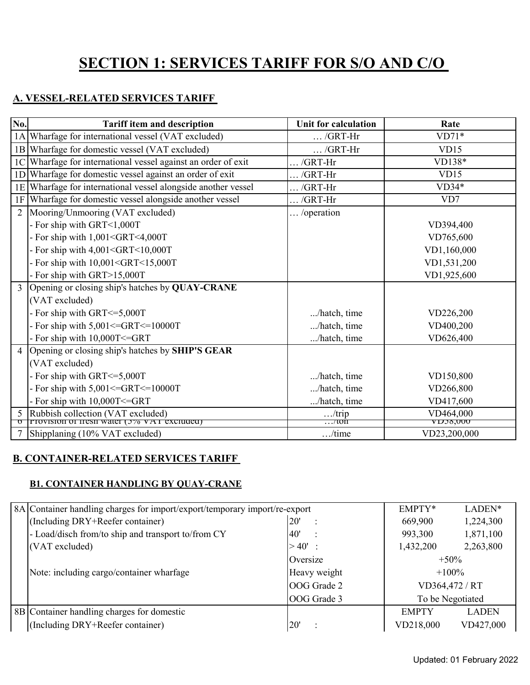# **SECTION 1: SERVICES TARIFF FOR S/O AND C/O**

# **A. VESSEL-RELATED SERVICES TARIFF**

| No.            | <b>Tariff item and description</b>                                                     | <b>Unit for calculation</b> | Rate         |
|----------------|----------------------------------------------------------------------------------------|-----------------------------|--------------|
| 1A             | Wharfage for international vessel (VAT excluded)                                       | $\ldots$ /GRT-Hr            | $VD71*$      |
|                | 1B Wharfage for domestic vessel (VAT excluded)                                         | $\ldots$ /GRT-Hr            | VD15         |
| 1 <sup>C</sup> | Wharfage for international vessel against an order of exit                             | $\ldots$ /GRT-Hr            | VD138*       |
| 1 <sub>D</sub> | Wharfage for domestic vessel against an order of exit                                  | $\ldots$ /GRT-Hr            | VD15         |
| 1E             | Wharfage for international vessel alongside another vessel                             | $\ldots$ /GRT-Hr            | $VD34*$      |
| 1F             | Wharfage for domestic vessel alongside another vessel                                  | $\ldots$ /GRT-Hr            | VD7          |
| $\overline{2}$ | Mooring/Unmooring (VAT excluded)                                                       | /operation                  |              |
|                | - For ship with GRT<1,000T                                                             |                             | VD394,400    |
|                | - For ship with 1,001 <grt<4,000t< td=""><td></td><td>VD765,600</td></grt<4,000t<>     |                             | VD765,600    |
|                | - For ship with 4,001 <grt<10,000t< td=""><td></td><td>VD1,160,000</td></grt<10,000t<> |                             | VD1,160,000  |
|                | - For ship with $10,001 < GRT < 15,000T$                                               |                             | VD1,531,200  |
|                | - For ship with GRT>15,000T                                                            |                             | VD1,925,600  |
| 3              | Opening or closing ship's hatches by QUAY-CRANE                                        |                             |              |
|                | (VAT excluded)                                                                         |                             |              |
|                | - For ship with GRT <= 5,000T                                                          | /hatch, time                | VD226,200    |
|                | - For ship with $5,001 \leq GRT \leq 10000T$                                           | /hatch, time                | VD400,200    |
|                | - For ship with 10,000T<=GRT                                                           | /hatch, time                | VD626,400    |
| 4              | Opening or closing ship's hatches by SHIP'S GEAR                                       |                             |              |
|                | (VAT excluded)                                                                         |                             |              |
|                | - For ship with GRT <= 5,000T                                                          | /hatch, time                | VD150,800    |
|                | - For ship with $5,001 \leq GRT \leq 10000T$                                           | /hatch, time                | VD266,800    |
|                | - For ship with 10,000T<=GRT                                                           | /hatch, time                | VD417,600    |
| 5              | Rubbish collection (VAT excluded)                                                      | / $trip$                    | VD464,000    |
| ত              | <b>Provision of fresh water (3% VAT excluded)</b>                                      | $\dots$ ton                 | VUJ8,000     |
|                | Shipplaning (10% VAT excluded)                                                         | $$ /time                    | VD23,200,000 |

### **B. CONTAINER-RELATED SERVICES TARIFF**

#### **B1. CONTAINER HANDLING BY QUAY-CRANE**

| 8A Container handling charges for import/export/temporary import/re-export |              | EMPTY*           | LADEN*       |
|----------------------------------------------------------------------------|--------------|------------------|--------------|
| (Including DRY+Reefer container)                                           | 20'          | 669,900          | 1,224,300    |
| - Load/disch from/to ship and transport to/from CY                         | 40'          | 993,300          | 1,871,100    |
| (VAT excluded)                                                             | $>40'$ :     | 1,432,200        | 2,263,800    |
|                                                                            | Oversize     | $+50\%$          |              |
| Note: including cargo/container wharfage                                   | Heavy weight | $+100\%$         |              |
|                                                                            | OOG Grade 2  | VD364,472 / RT   |              |
|                                                                            | OOG Grade 3  | To be Negotiated |              |
| 8B Container handling charges for domestic                                 |              | <b>EMPTY</b>     | <b>LADEN</b> |
| (Including DRY+Reefer container)                                           | 20'          | VD218,000        | VD427,000    |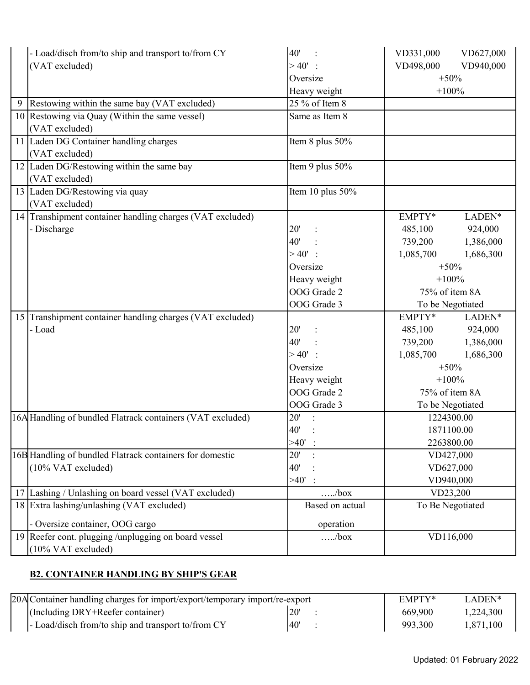|    | - Load/disch from/to ship and transport to/from CY         | 40'              | VD331,000        | VD627,000  |
|----|------------------------------------------------------------|------------------|------------------|------------|
|    | (VAT excluded)                                             | $>40'$ :         | VD498,000        | VD940,000  |
|    |                                                            | Oversize         | $+50%$           |            |
|    |                                                            | Heavy weight     | $+100%$          |            |
| 9  | Restowing within the same bay (VAT excluded)               | 25 % of Item 8   |                  |            |
|    | 10 Restowing via Quay (Within the same vessel)             | Same as Item 8   |                  |            |
|    | (VAT excluded)                                             |                  |                  |            |
|    | 11 Laden DG Container handling charges                     | Item 8 plus 50%  |                  |            |
|    | (VAT excluded)                                             |                  |                  |            |
|    | 12 Laden DG/Restowing within the same bay                  | Item 9 plus 50%  |                  |            |
|    | (VAT excluded)                                             |                  |                  |            |
|    | 13 Laden DG/Restowing via quay                             | Item 10 plus 50% |                  |            |
|    | (VAT excluded)                                             |                  |                  |            |
|    | 14 Transhipment container handling charges (VAT excluded)  |                  | EMPTY*           | LADEN*     |
|    | - Discharge                                                | 20'              | 485,100          | 924,000    |
|    |                                                            | 40'              | 739,200          | 1,386,000  |
|    |                                                            | >40'             | 1,085,700        | 1,686,300  |
|    |                                                            | Oversize         | $+50%$           |            |
|    |                                                            | Heavy weight     | $+100%$          |            |
|    |                                                            | OOG Grade 2      | 75% of item 8A   |            |
|    |                                                            | OOG Grade 3      | To be Negotiated |            |
| 15 | Transhipment container handling charges (VAT excluded)     |                  | EMPTY*           | LADEN*     |
|    | - Load                                                     | 20'              | 485,100          | 924,000    |
|    |                                                            | 40'              | 739,200          | 1,386,000  |
|    |                                                            | $>40'$ :         | 1,085,700        | 1,686,300  |
|    |                                                            | Oversize         | $+50%$           |            |
|    |                                                            | Heavy weight     | $+100%$          |            |
|    |                                                            | OOG Grade 2      | 75% of item 8A   |            |
|    |                                                            | OOG Grade 3      | To be Negotiated |            |
|    | 16A Handling of bundled Flatrack containers (VAT excluded) | 20'              | 1224300.00       |            |
|    |                                                            | 40'              |                  | 1871100.00 |
|    |                                                            | $>40'$ :         | 2263800.00       |            |
|    | 16B Handling of bundled Flatrack containers for domestic   | 20'              | VD427,000        |            |
|    | (10% VAT excluded)                                         | 40'              | VD627,000        |            |
|    |                                                            | >40'             | VD940,000        |            |
|    | 17 Lashing / Unlashing on board vessel (VAT excluded)      | $\dots/b$ ox     | VD23,200         |            |
|    | 18 Extra lashing/unlashing (VAT excluded)                  | Based on actual  | To Be Negotiated |            |
|    | - Oversize container, OOG cargo                            | operation        |                  |            |
|    | 19 Reefer cont. plugging /unplugging on board vessel       | /box             | VD116,000        |            |
|    | (10% VAT excluded)                                         |                  |                  |            |

# **B2. CONTAINER HANDLING BY SHIP'S GEAR**

| 20AlContainer handling charges for import/export/temporary import/re-export |              | EMPTY* | LADEN*  |           |
|-----------------------------------------------------------------------------|--------------|--------|---------|-----------|
| (Including DRY+Reefer container)                                            | $20^{\circ}$ |        | 669.900 | 1,224,300 |
| - Load/disch from/to ship and transport to/from CY                          | 40'          |        | 993,300 | 1,871,100 |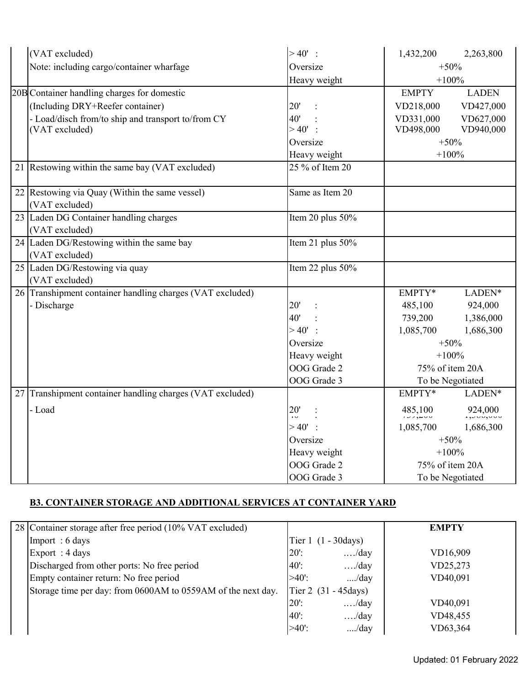|    | (VAT excluded)                                         | $>40'$ :              | 1,432,200       | 2,263,800                              |
|----|--------------------------------------------------------|-----------------------|-----------------|----------------------------------------|
|    | Note: including cargo/container wharfage               | Oversize              | $+50%$          |                                        |
|    |                                                        | Heavy weight          |                 | $+100%$                                |
|    | 20B Container handling charges for domestic            |                       | <b>EMPTY</b>    | <b>LADEN</b>                           |
|    | (Including DRY+Reefer container)                       | 20'<br>$\ddot{\cdot}$ | VD218,000       | VD427,000                              |
|    | - Load/disch from/to ship and transport to/from CY     | 40'                   | VD331,000       | VD627,000                              |
|    | (VAT excluded)                                         | $>40'$ :              | VD498,000       | VD940,000                              |
|    |                                                        | Oversize              |                 | $+50%$                                 |
|    |                                                        | Heavy weight          |                 | $+100%$                                |
|    | 21 Restowing within the same bay (VAT excluded)        | 25 % of Item 20       |                 |                                        |
|    | 22 Restowing via Quay (Within the same vessel)         | Same as Item 20       |                 |                                        |
|    | (VAT excluded)                                         |                       |                 |                                        |
|    | 23 Laden DG Container handling charges                 | Item 20 plus 50%      |                 |                                        |
|    | (VAT excluded)                                         |                       |                 |                                        |
|    | 24 Laden DG/Restowing within the same bay              | Item 21 plus 50%      |                 |                                        |
|    | (VAT excluded)                                         |                       |                 |                                        |
|    | 25 Laden DG/Restowing via quay                         | Item 22 plus 50%      |                 |                                        |
|    | (VAT excluded)                                         |                       |                 |                                        |
| 26 | Transhipment container handling charges (VAT excluded) |                       | EMPTY*          | LADEN*                                 |
|    | - Discharge                                            | 20'                   | 485,100         | 924,000                                |
|    |                                                        | 40'                   | 739,200         | 1,386,000                              |
|    |                                                        | >40'<br>$\,$ ,        | 1,085,700       | 1,686,300                              |
|    |                                                        | Oversize              |                 | $+50%$                                 |
|    |                                                        | Heavy weight          |                 | $+100%$                                |
|    |                                                        | OOG Grade 2           | 75% of item 20A |                                        |
|    |                                                        | OOG Grade 3           |                 | To be Negotiated                       |
| 27 | Transhipment container handling charges (VAT excluded) |                       | EMPTY*          | $\ensuremath{\mathsf{LADEN^*}}\xspace$ |
|    | - Load                                                 | 20'<br>$\overline{1}$ | 485,100         | 924,000                                |
|    |                                                        | >40'                  | 1,085,700       | 1,686,300                              |
|    |                                                        | Oversize              | $+50%$          |                                        |
|    |                                                        | Heavy weight          |                 | $+100%$                                |
|    |                                                        | OOG Grade 2           |                 | 75% of item 20A                        |
|    |                                                        | OOG Grade 3           |                 | To be Negotiated                       |

# **B3. CONTAINER STORAGE AND ADDITIONAL SERVICES AT CONTAINER YARD**

| 28 Container storage after free period (10% VAT excluded)    |         |                                | <b>EMPTY</b> |
|--------------------------------------------------------------|---------|--------------------------------|--------------|
| Import: 6 days                                               |         | Tier $1(1 - 30 \text{days})$   |              |
| Export: 4 days                                               | $20$ :  | $\dots$ ./day                  | VD16,909     |
| Discharged from other ports: No free period                  | $40$ .  | $\dots$ ./day                  | VD25,273     |
| Empty container return: No free period                       | $>40$ . | /day                           | VD40,091     |
| Storage time per day: from 0600AM to 0559AM of the next day. |         | Tier 2 $(31 - 45 \text{days})$ |              |
|                                                              | $20$ :  | $\dots$ ./day                  | VD40,091     |
|                                                              | $40$ :  | $\dots$ ./day                  | VD48,455     |
|                                                              | $>40$ . | /day                           | VD63,364     |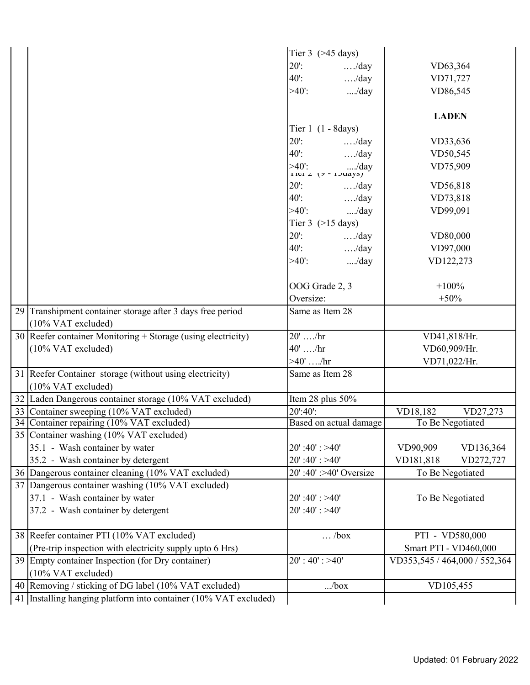|                                                                      | Tier $3$ ( $>45$ days)               |                                     |                               |                       |
|----------------------------------------------------------------------|--------------------------------------|-------------------------------------|-------------------------------|-----------------------|
|                                                                      | $20$ :                               | $\dots$ /day                        |                               | VD63,364              |
|                                                                      | $40$ :                               | $\dots$ /day                        | VD71,727                      |                       |
|                                                                      | $>40$ .                              | /day                                | VD86,545                      |                       |
|                                                                      |                                      |                                     | <b>LADEN</b>                  |                       |
|                                                                      | Tier $1(1 - 8 \text{days})$          |                                     |                               |                       |
|                                                                      | $20$ :                               | $\dots$ ./day                       | VD33,636                      |                       |
|                                                                      | $40$ :                               | $\dots$ ./day                       | VD50,545                      |                       |
|                                                                      |                                      | >40': /day<br>1 iei 2 (7 - 1 Juays) | VD75,909                      |                       |
|                                                                      | $20$ :                               | $\dots$ ./day                       | VD56,818                      |                       |
|                                                                      |                                      | $40'$ : /day                        | VD73,818                      |                       |
|                                                                      | $>40$ .                              | /day                                | VD99,091                      |                       |
|                                                                      | Tier $3$ ( $>15$ days)               |                                     |                               |                       |
|                                                                      | $20$ :                               | $\dots$ ./day                       |                               | VD80,000              |
|                                                                      | 40 <sup>'</sup> :                    | $\dots$ ./day                       | VD97,000                      |                       |
|                                                                      | $>40$ .                              | /day                                | VD122,273                     |                       |
|                                                                      |                                      |                                     |                               |                       |
|                                                                      | OOG Grade 2, 3                       |                                     | $+100%$                       |                       |
|                                                                      | Oversize:                            |                                     | $+50%$                        |                       |
| 29 Transhipment container storage after 3 days free period           | Same as Item 28                      |                                     |                               |                       |
| (10% VAT excluded)                                                   |                                      |                                     |                               |                       |
| 30 Reefer container Monitoring + Storage (using electricity)         | $20' \dots$ /hr                      |                                     | VD41,818/Hr.                  |                       |
| (10% VAT excluded)                                                   | $40'$ /hr                            |                                     | VD60,909/Hr.                  |                       |
|                                                                      | >40'  / hr                           |                                     | VD71,022/Hr.                  |                       |
| 31 Reefer Container storage (without using electricity)              | Same as Item 28                      |                                     |                               |                       |
| $(10\% \text{ VAT excluded})$                                        |                                      |                                     |                               |                       |
| 32 Laden Dangerous container storage (10% VAT excluded)              | Item 28 plus 50%                     |                                     |                               |                       |
| 33 Container sweeping (10% VAT excluded)                             | 20':40':                             |                                     | VD18,182                      | VD27,273              |
| 34 Container repairing (10% VAT excluded)                            |                                      | Based on actual damage              | To Be Negotiated              |                       |
| 35 Container washing (10% VAT excluded)                              |                                      |                                     |                               |                       |
| 35.1 - Wash container by water                                       | $20'$ :40': >40'                     |                                     | VD90,909                      | VD136,364             |
| 35.2 - Wash container by detergent                                   | $20'$ :40': >40'                     |                                     | VD181,818                     | VD272,727             |
| 36 Dangerous container cleaning (10% VAT excluded)                   |                                      | 20':40':>40' Oversize               | To Be Negotiated              |                       |
| 37 Dangerous container washing (10% VAT excluded)                    |                                      |                                     |                               |                       |
| 37.1 - Wash container by water<br>37.2 - Wash container by detergent | $20'$ :40': >40'<br>$20$ ':40': >40' |                                     | To Be Negotiated              |                       |
|                                                                      |                                      |                                     |                               |                       |
| 38 Reefer container PTI (10% VAT excluded)                           |                                      | $\ldots$ /box                       | PTI - VD580,000               |                       |
| (Pre-trip inspection with electricity supply upto 6 Hrs)             |                                      |                                     |                               | Smart PTI - VD460,000 |
| 39 Empty container Inspection (for Dry container)                    | $20$ ': 40': >40'                    |                                     | VD353,545 / 464,000 / 552,364 |                       |
| (10% VAT excluded)                                                   |                                      |                                     |                               |                       |
| 40 Removing / sticking of DG label (10% VAT excluded)                |                                      | /box                                | VD105,455                     |                       |
| 41 Installing hanging platform into container (10% VAT excluded)     |                                      |                                     |                               |                       |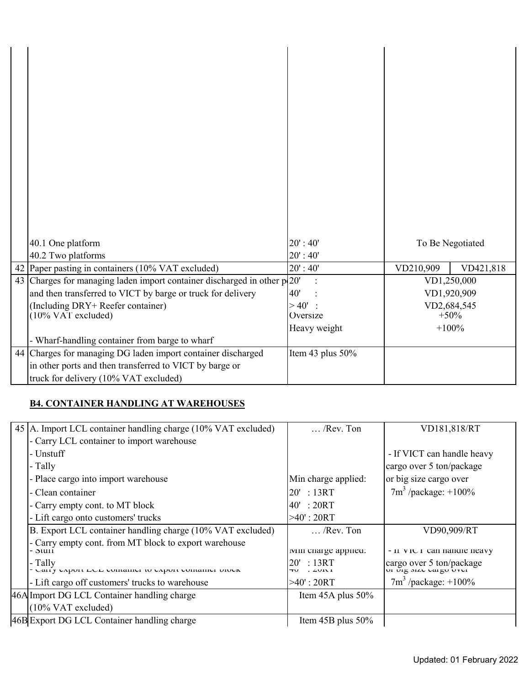| 40.1 One platform                                                        | 20' : 40'        | To Be Negotiated |           |
|--------------------------------------------------------------------------|------------------|------------------|-----------|
| 40.2 Two platforms                                                       | 20' : 40'        |                  |           |
| 42 Paper pasting in containers (10% VAT excluded)                        | 20' : 40'        | VD210,909        | VD421,818 |
| 43 Charges for managing laden import container discharged in other p 20' |                  | VD1,250,000      |           |
| and then transferred to VICT by barge or truck for delivery              | 40'              | VD1,920,909      |           |
| (Including DRY+ Reefer container)                                        | >40'             | VD2,684,545      |           |
| $(10\% \text{ VAT excluded})$                                            | Oversize         | $+50%$           |           |
|                                                                          | Heavy weight     | $+100%$          |           |
| - Wharf-handling container from barge to wharf                           |                  |                  |           |
| 44 Charges for managing DG laden import container discharged             | Item 43 plus 50% |                  |           |
| in other ports and then transferred to VICT by barge or                  |                  |                  |           |
| truck for delivery (10% VAT excluded)                                    |                  |                  |           |

#### **B4. CONTAINER HANDLING AT WAREHOUSES**

| $\ldots$ /Rev. Ton              | VD181,818/RT               |
|---------------------------------|----------------------------|
|                                 |                            |
|                                 | - If VICT can handle heavy |
|                                 | cargo over 5 ton/package   |
| Min charge applied:             | or big size cargo over     |
| 20' : 13RT                      | $7m^3$ /package: +100%     |
| 40' : 20RT                      |                            |
| $>40$ ': 20RT                   |                            |
| $\ldots$ /Rev. Ton              | VD90,909/RT                |
| iviin charge applied:           | - II VICT can nanule neavy |
| :13RT<br>20'<br>$. \angle$ VIVI | cargo over 5 ton/package   |
| $>40$ ' : 20RT                  | $7m^3$ /package: $+100\%$  |
| Item $45A$ plus $50\%$          |                            |
|                                 |                            |
| Item 45B plus 50%               |                            |
|                                 |                            |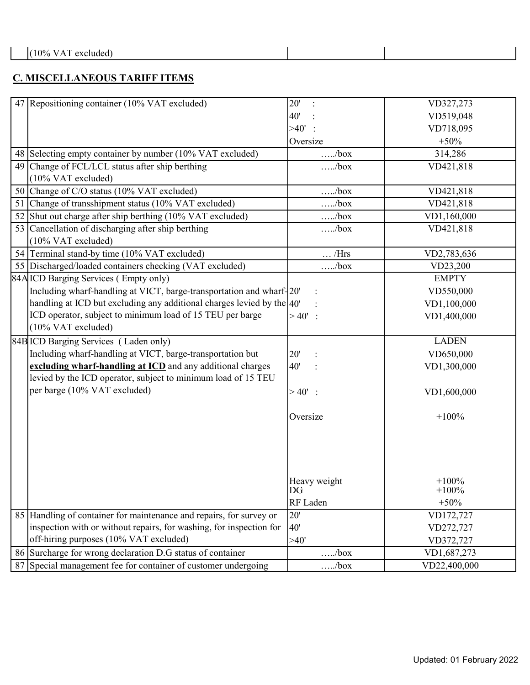### **C. MISCELLANEOUS TARIFF ITEMS**

| 47 Repositioning container (10% VAT excluded)<br>20'                       | VD327,273    |
|----------------------------------------------------------------------------|--------------|
| 40'                                                                        | VD519,048    |
| >40'                                                                       | VD718,095    |
| Oversize                                                                   | $+50%$       |
| 48 Selecting empty container by number (10% VAT excluded)<br>$\dots/b$ ox  | 314,286      |
| 49 Change of FCL/LCL status after ship berthing<br>/box                    | VD421,818    |
| (10% VAT excluded)                                                         |              |
| 50 Change of C/O status (10% VAT excluded)<br>$\dots/b$ ox                 | VD421,818    |
| Change of transshipment status (10% VAT excluded)<br>51<br>$\dots/b$ ox    | VD421,818    |
| 52 Shut out charge after ship berthing (10% VAT excluded)<br>/box          | VD1,160,000  |
| 53 Cancellation of discharging after ship berthing<br>$\dots$ box          | VD421,818    |
| (10% VAT excluded)                                                         |              |
| 54 Terminal stand-by time (10% VAT excluded)<br>$\ldots$ /Hrs              | VD2,783,636  |
| 55 Discharged/loaded containers checking (VAT excluded)<br>/box            | VD23,200     |
| 84A ICD Barging Services (Empty only)                                      | <b>EMPTY</b> |
| Including wharf-handling at VICT, barge-transportation and wharf-20'       | VD550,000    |
| handling at ICD but excluding any additional charges levied by the $ 40'$  | VD1,100,000  |
| ICD operator, subject to minimum load of 15 TEU per barge<br>$>40'$ :      | VD1,400,000  |
| (10% VAT excluded)                                                         |              |
| 84B ICD Barging Services (Laden only)                                      | <b>LADEN</b> |
| Including wharf-handling at VICT, barge-transportation but<br>20'          | VD650,000    |
| excluding wharf-handling at ICD and any additional charges<br>40'          | VD1,300,000  |
| levied by the ICD operator, subject to minimum load of 15 TEU              |              |
| per barge (10% VAT excluded)<br>$> 40'$ :                                  | VD1,600,000  |
|                                                                            |              |
| Oversize                                                                   | $+100%$      |
|                                                                            |              |
|                                                                            |              |
|                                                                            |              |
|                                                                            |              |
| Heavy weight                                                               | $+100%$      |
| DG                                                                         | $+100%$      |
| RF Laden                                                                   | $+50%$       |
| 85 Handling of container for maintenance and repairs, for survey or<br>20' | VD172,727    |
| inspection with or without repairs, for washing, for inspection for<br>40' | VD272,727    |
| off-hiring purposes (10% VAT excluded)<br>>40'                             |              |
|                                                                            | VD372,727    |
| 86 Surcharge for wrong declaration D.G status of container<br>/box         | VD1,687,273  |